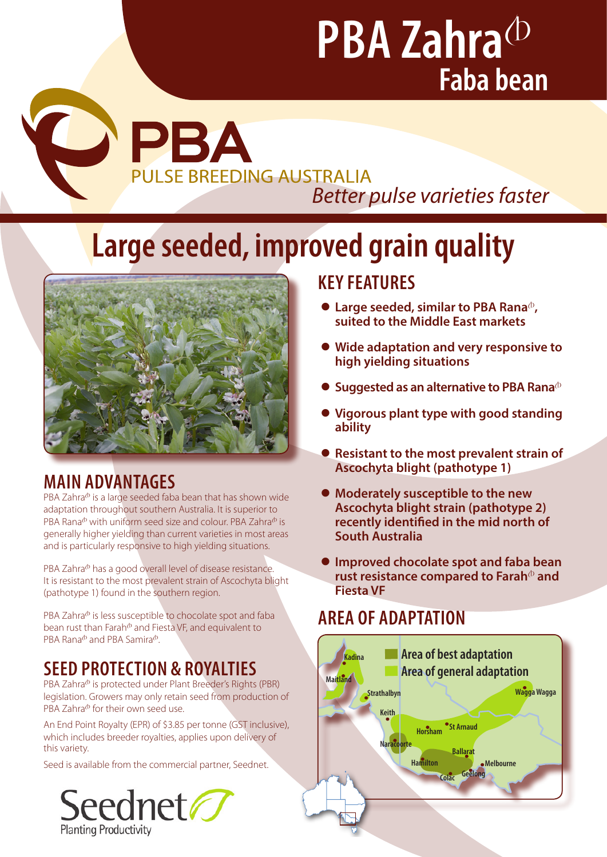# **PBA Zahra**<sup>(D</sup> **Faba bean**

# PBA **PULSE BREEDING AUSTRALIA** *Better pulse varieties faster*

# **Large seeded, improved grain quality**



# **MAIN ADVANTAGES**

P

PBA Zahra $\Phi$  is a large seeded faba bean that has shown wide adaptation throughout southern Australia. It is superior to PBA Rana<sup>®</sup> with uniform seed size and colour. PBA Zahra<sup>®</sup> is generally higher yielding than current varieties in most areas and is particularly responsive to high yielding situations.

PBA Zahra<sup>®</sup> has a good overall level of disease resistance. It is resistant to the most prevalent strain of Ascochyta blight (pathotype 1) found in the southern region.

PBA Zahra<sup>®</sup> is less susceptible to chocolate spot and faba bean rust than Farah $^{\circ}$  and Fiesta VF, and equivalent to PBA Rana $\Phi$  and PBA Samira $\Phi$ .

# **SEED PROTECTION & ROYALTIES**

PBA Zahra<sup>®</sup> is protected under Plant Breeder's Rights (PBR) legislation. Growers may only retain seed from production of PBA Zahra $\Phi$  for their own seed use.

An End Point Royalty (EPR) of \$3.85 per tonne (GST inclusive), which includes breeder royalties, applies upon delivery of this variety.

Seed is available from the commercial partner, Seednet.



## **KEY FEATURES**

- **Large seeded, similar to PBA Rana**<sup>®</sup>, **suited to the Middle East markets**
- z **Wide adaptation and very responsive to high yielding situations**
- **Suggested as an alternative to PBA Rana**<sup> $\Phi$ </sup>
- z **Vigorous plant type with good standing ability**
- **Resistant to the most prevalent strain of Ascochyta blight (pathotype 1)**
- **Moderately susceptible to the new Ascochyta blight strain (pathotype 2) recently identified in the mid north of South Australia**
- **Improved chocolate spot and faba bean** rust resistance compared to Farah<sup>®</sup> and **Fiesta VF**

# **AREA OF ADAPTATION**

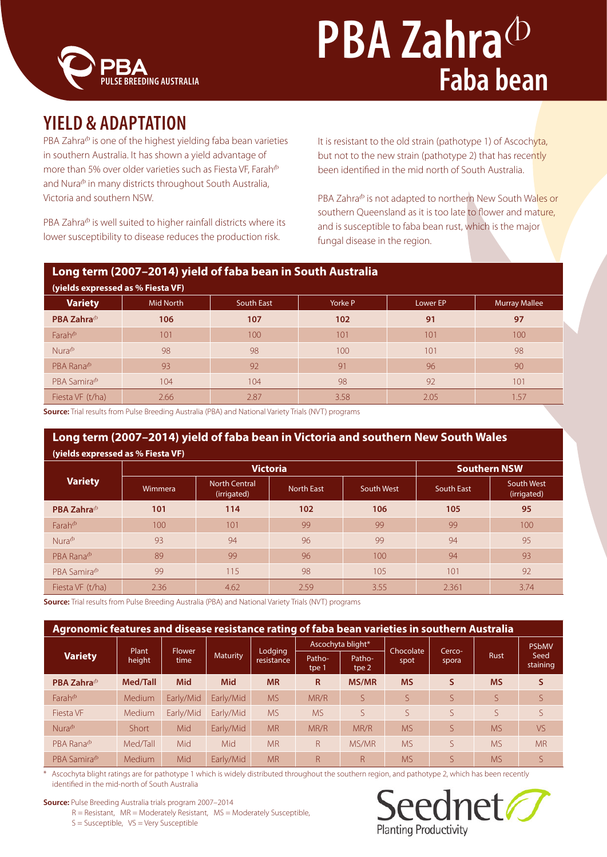

# **PBA Zahra**<sup>(D</sup> **Faba bean**

## **YIELD & ADAPTATION**

PBA Zahra<sup>®</sup> is one of the highest yielding faba bean varieties in southern Australia. It has shown a yield advantage of more than 5% over older varieties such as Fiesta VF, Farah $\Phi$ and Nura<sup>®</sup> in many districts throughout South Australia, Victoria and southern NSW.

PBA Zahra<sup>®</sup> is well suited to higher rainfall districts where its lower susceptibility to disease reduces the production risk.

It is resistant to the old strain (pathotype 1) of Ascochyta, but not to the new strain (pathotype 2) that has recently been identified in the mid north of South Australia.

PBA Zahra<sup>®</sup> is not adapted to northern New South Wales or southern Queensland as it is too late to flower and mature, and is susceptible to faba bean rust, which is the major fungal disease in the region.

#### **Long term (2007–2014) yield of faba bean in South Australia**

| (yields expressed as % Fiesta VF)   |           |            |         |          |                      |  |  |
|-------------------------------------|-----------|------------|---------|----------|----------------------|--|--|
| <b>Variety</b>                      | Mid North | South East | Yorke P | Lower EP | <b>Murray Mallee</b> |  |  |
| PBA Zahra <sup>®</sup>              | 106       | 107        | 102     | 91       | 97                   |  |  |
| Farah $^{\circ}$                    | 101       | 100        | 101     | 101      | 100                  |  |  |
| $Nura$ <sup><math>\Phi</math></sup> | 98        | 98         | 100     | 101      | 98                   |  |  |
| PBA Rana <sup>®</sup>               | 93        | 92         | 91      | 96       | 90                   |  |  |
| PBA Samira <sup>®</sup>             | 104       | 104        | 98      | 92       | 101                  |  |  |
| Fiesta VF (t/ha)                    | 2.66      | 2.87       | 3.58    | 2.05     | 1.57                 |  |  |

**Source:** Trial results from Pulse Breeding Australia (PBA) and National Variety Trials (NVT) programs

#### **Long term (2007–2014) yield of faba bean in Victoria and southern New South Wales (yields expressed as % Fiesta VF)**

|                                      |         | <b>Victoria</b>                     | <b>Southern NSW</b> |            |            |                           |  |  |
|--------------------------------------|---------|-------------------------------------|---------------------|------------|------------|---------------------------|--|--|
| <b>Variety</b>                       | Wimmera | <b>North Central</b><br>(irrigated) | <b>North East</b>   | South West | South East | South West<br>(irrigated) |  |  |
| PBA Zahra <sup>(b</sup>              | 101     | 114                                 | 102                 | 106        | 105        | 95                        |  |  |
| $Farah$ <sup><math>\Phi</math></sup> | 100     | 101                                 | 99                  | 99         | 99         | 100                       |  |  |
| Nura $\Phi$                          | 93      | 94                                  | 96                  | 99         | 94         | 95                        |  |  |
| PBA Rana <sup>®</sup>                | 89      | 99                                  | 96                  | 100        | 94         | 93                        |  |  |
| PBA Samira <sup>®</sup>              | 99      | 115                                 | 98                  | 105        | 101        | 92                        |  |  |
| Fiesta VF (t/ha)                     | 2.36    | 4.62                                | 2.59                | 3.55       | 2.361      | 3.74                      |  |  |

**Source:** Trial results from Pulse Breeding Australia (PBA) and National Variety Trials (NVT) programs

| Agronomic features and disease resistance rating of faba bean varieties in southern Australia |                 |                       |                 |                       |                   |                 |           |        |             |                  |
|-----------------------------------------------------------------------------------------------|-----------------|-----------------------|-----------------|-----------------------|-------------------|-----------------|-----------|--------|-------------|------------------|
| <b>Variety</b>                                                                                | Plant<br>height | <b>Flower</b><br>time | <b>Maturity</b> | Lodging<br>resistance | Ascochyta blight* |                 | Chocolate | Cerco- |             | <b>PSbMV</b>     |
|                                                                                               |                 |                       |                 |                       | Patho-<br>tpe 1   | Patho-<br>tpe 2 | spot      | spora  | Rust        | Seed<br>staining |
| PBA Zahra <sup>®</sup>                                                                        | Med/Tall        | <b>Mid</b>            | <b>Mid</b>      | <b>MR</b>             | R                 | <b>MS/MR</b>    | <b>MS</b> | S      | <b>MS</b>   | S                |
| Farah $\Phi$                                                                                  | Medium          | Early/Mid             | Early/Mid       | <b>MS</b>             | MR/R              | S               | S         |        | S           | S.               |
| Fiesta VF                                                                                     | <b>Medium</b>   | Early/Mid             | Early/Mid       | <b>MS</b>             | <b>MS</b>         | $\varsigma$     | S         |        | $\varsigma$ | S.               |
| Nura <sup>th</sup>                                                                            | <b>Short</b>    | Mid                   | Early/Mid       | <b>MR</b>             | MR/R              | MR/R            | <b>MS</b> | ς      | <b>MS</b>   | <b>VS</b>        |
| PBA Rana <sup>®</sup>                                                                         | Med/Tall        | Mid                   | Mid             | <b>MR</b>             | R                 | MS/MR           | <b>MS</b> | ς      | <b>MS</b>   | <b>MR</b>        |
| PBA Samira <sup>®</sup>                                                                       | Medium          | Mid                   | Early/Mid       | <b>MR</b>             | R                 | R               | <b>MS</b> |        | <b>MS</b>   | <sub>S</sub>     |

Ascochyta blight ratings are for pathotype 1 which is widely distributed throughout the southern region, and pathotype 2, which has been recently identified in the mid-north of South Australia

**Source:** Pulse Breeding Australia trials program 2007–2014

 $R =$  Resistant,  $MR =$  Moderately Resistant,  $MS =$  Moderately Susceptible,

S = Susceptible, VS = Very Susceptible

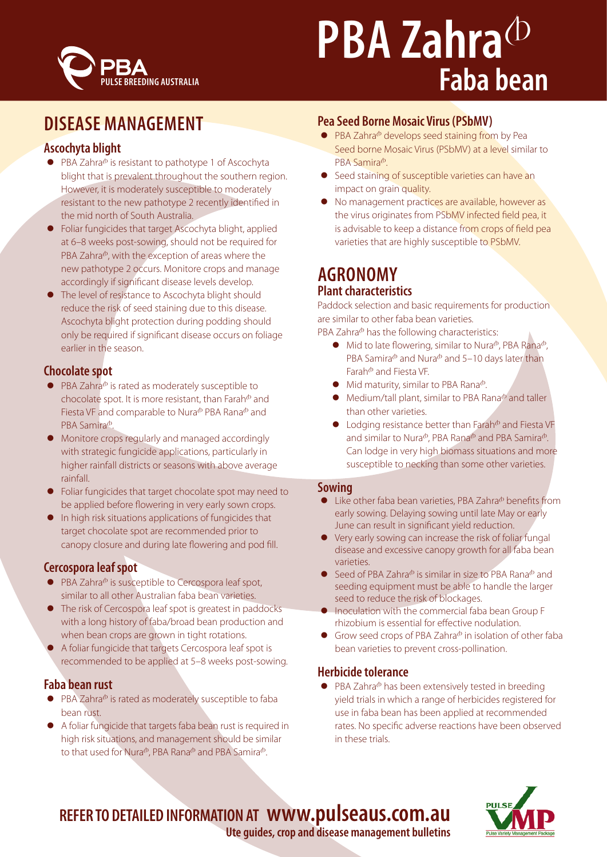

# **PBA Zahra**<sup></sub></sup> **Faba bean**

## **DISEASE MANAGEMENT**

#### **Ascochyta blight**

- $\bullet$  PBA Zahra<sup> $\phi$ </sup> is resistant to pathotype 1 of Ascochyta blight that is prevalent throughout the southern region. However, it is moderately susceptible to moderately resistant to the new pathotype 2 recently identified in the mid north of South Australia.
- Foliar fungicides that target Ascochyta blight, applied at 6–8 weeks post-sowing, should not be required for PBA Zahra $\Phi$ , with the exception of areas where the new pathotype 2 occurs. Monitore crops and manage accordingly if significant disease levels develop.
- The level of resistance to Ascochyta blight should reduce the risk of seed staining due to this disease. Ascochyta blight protection during podding should only be required if significant disease occurs on foliage earlier in the season.

#### **Chocolate spot**

- $\bullet$  PBA Zahra<sup> $\Phi$ </sup> is rated as moderately susceptible to chocolate spot. It is more resistant, than Farah $\Phi$  and Fiesta VF and comparable to Nura<sup>®</sup> PBA Rana® and PBA Samira<sup>®</sup>.
- Monitore crops regularly and managed accordingly with strategic fungicide applications, particularly in higher rainfall districts or seasons with above average rainfall.
- Foliar fungicides that target chocolate spot may need to be applied before flowering in very early sown crops.
- In high risk situations applications of fungicides that target chocolate spot are recommended prior to canopy closure and during late flowering and pod fill.

#### **Cercospora leaf spot**

- $\bullet$  PBA Zahra<sup> $\circ$ </sup> is susceptible to Cercospora leaf spot, similar to all other Australian faba bean varieties.
- The risk of Cercospora leaf spot is greatest in paddocks with a long history of faba/broad bean production and when bean crops are grown in tight rotations.
- A foliar fungicide that targets Cercospora leaf spot is recommended to be applied at 5–8 weeks post-sowing.

#### **Faba bean rust**

- $\bullet$  PBA Zahra $\Phi$  is rated as moderately susceptible to faba bean rust.
- A foliar fungicide that targets faba bean rust is required in high risk situations, and management should be similar to that used for Nura<sup> $\Phi$ </sup>, PBA Rana $\Phi$  and PBA Samira $\Phi$ .

#### **Pea Seed Borne Mosaic Virus (PSbMV)**

- $\bullet$  PBA Zahra $\Phi$  develops seed staining from by Pea Seed borne Mosaic Virus (PSbMV) at a level similar to PBA Samira<sup>®</sup>
- Seed staining of susceptible varieties can have an impact on grain quality.
- No management practices are available, however as the virus originates from PSbMV infected field pea, it is advisable to keep a distance from crops of field pea varieties that are highly susceptible to PSbMV.

#### **AGRONOMY Plant characteristics**

Paddock selection and basic requirements for production are similar to other faba bean varieties.

PBA Zahra $\Phi$  has the following characteristics:

- $\bullet$  Mid to late flowering, similar to Nura<sup> $\Phi$ </sup>, PBA Rana $\Phi$ , PBA Samira $\Phi$  and Nura $\Phi$  and 5–10 days later than Farah<sup>®</sup> and Fiesta VF.
- $\bullet$  Mid maturity, similar to PBA Rana $\Phi$ .
- $\bullet$  Medium/tall plant, similar to PBA Rana $\Phi$  and taller than other varieties.
- $\bullet$  Lodging resistance better than Farah<sup> $\Phi$ </sup> and Fiesta VF and similar to Nura<sup> $\Phi$ </sup>, PBA Rana $\Phi$  and PBA Samira $\Phi$ . Can lodge in very high biomass situations and more susceptible to necking than some other varieties.

#### **Sowing**

- $\bullet$  Like other faba bean varieties, PBA Zahra $\Phi$  benefits from early sowing. Delaying sowing until late May or early June can result in significant yield reduction.
- Very early sowing can increase the risk of foliar fungal disease and excessive canopy growth for all faba bean varieties.
- Seed of PBA Zahra<sup>®</sup> is similar in size to PBA Rana<sup>®</sup> and seeding equipment must be able to handle the larger seed to reduce the risk of blockages.
- **•** Inoculation with the commercial faba bean Group F rhizobium is essential for effective nodulation.
- Grow seed crops of PBA Zahra $\Phi$  in isolation of other faba bean varieties to prevent cross-pollination.

#### **Herbicide tolerance**

 $\bullet$  PBA Zahra<sup> $\phi$ </sup> has been extensively tested in breeding yield trials in which a range of herbicides registered for use in faba bean has been applied at recommended rates. No specific adverse reactions have been observed in these trials.





**Ute guides, crop and disease management bulletins**